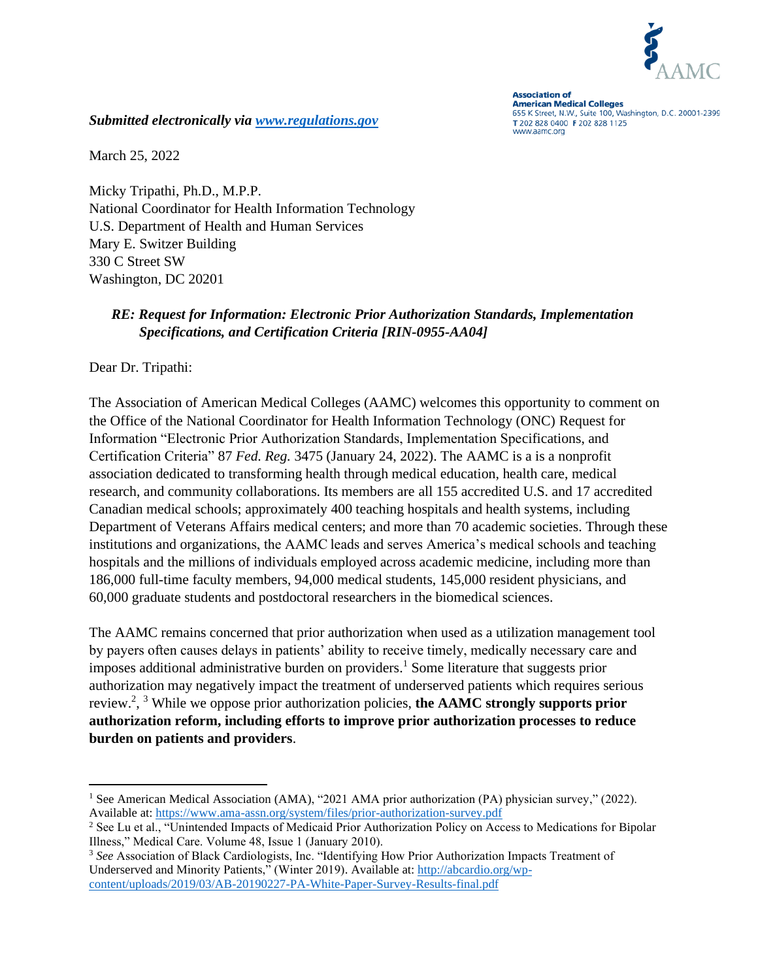

**Association of American Medical Colleges** 655 K Street, N.W., Suite 100, Washington, D.C. 20001-2399 T 202 828 0400 F 202 828 1125 www.aamc.org

*Submitted electronically via [www.regulations.gov](http://www.regulations.gov/)* 

March 25, 2022

Micky Tripathi, Ph.D., M.P.P. National Coordinator for Health Information Technology U.S. Department of Health and Human Services Mary E. Switzer Building 330 C Street SW Washington, DC 20201

## *RE: Request for Information: Electronic Prior Authorization Standards, Implementation Specifications, and Certification Criteria [RIN-0955-AA04]*

Dear Dr. Tripathi:

The Association of American Medical Colleges (AAMC) welcomes this opportunity to comment on the Office of the National Coordinator for Health Information Technology (ONC) Request for Information "Electronic Prior Authorization Standards, Implementation Specifications, and Certification Criteria" 87 *Fed. Reg.* 3475 (January 24, 2022). The AAMC is a is a nonprofit association dedicated to transforming health through medical education, health care, medical research, and community collaborations. Its members are all 155 accredited U.S. and 17 accredited Canadian medical schools; approximately 400 teaching hospitals and health systems, including Department of Veterans Affairs medical centers; and more than 70 academic societies. Through these institutions and organizations, the AAMC leads and serves America's medical schools and teaching hospitals and the millions of individuals employed across academic medicine, including more than 186,000 full-time faculty members, 94,000 medical students, 145,000 resident physicians, and 60,000 graduate students and postdoctoral researchers in the biomedical sciences.

The AAMC remains concerned that prior authorization when used as a utilization management tool by payers often causes delays in patients' ability to receive timely, medically necessary care and imposes additional administrative burden on providers. <sup>1</sup> Some literature that suggests prior authorization may negatively impact the treatment of underserved patients which requires serious review.<sup>2</sup> , <sup>3</sup> While we oppose prior authorization policies, **the AAMC strongly supports prior authorization reform, including efforts to improve prior authorization processes to reduce burden on patients and providers**.

<sup>&</sup>lt;sup>1</sup> See American Medical Association (AMA), "2021 AMA prior authorization (PA) physician survey," (2022). Available at:<https://www.ama-assn.org/system/files/prior-authorization-survey.pdf>

<sup>&</sup>lt;sup>2</sup> See Lu et al., "Unintended Impacts of Medicaid Prior Authorization Policy on Access to Medications for Bipolar Illness," Medical Care. Volume 48, Issue 1 (January 2010).

<sup>3</sup> *See* Association of Black Cardiologists, Inc. "Identifying How Prior Authorization Impacts Treatment of Underserved and Minority Patients," (Winter 2019). Available at: [http://abcardio.org/wp](http://abcardio.org/wp-content/uploads/2019/03/AB-20190227-PA-White-Paper-Survey-Results-final.pdf)[content/uploads/2019/03/AB-20190227-PA-White-Paper-Survey-Results-final.pdf](http://abcardio.org/wp-content/uploads/2019/03/AB-20190227-PA-White-Paper-Survey-Results-final.pdf)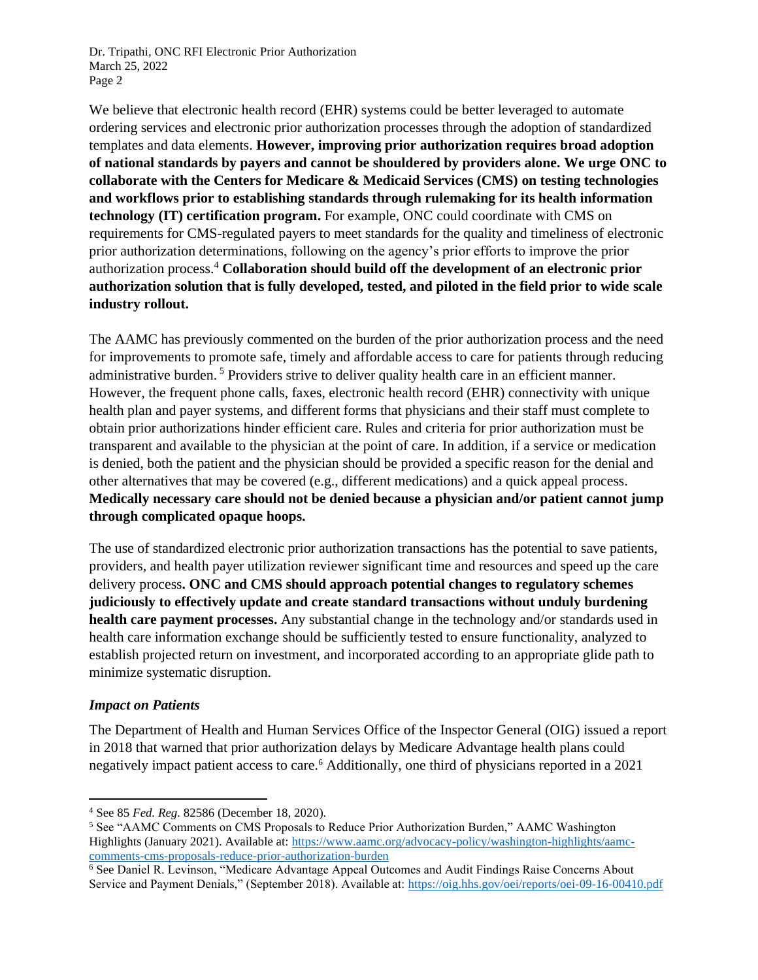Dr. Tripathi, ONC RFI Electronic Prior Authorization March 25, 2022 Page 2

We believe that electronic health record (EHR) systems could be better leveraged to automate ordering services and electronic prior authorization processes through the adoption of standardized templates and data elements. **However, improving prior authorization requires broad adoption of national standards by payers and cannot be shouldered by providers alone. We urge ONC to collaborate with the Centers for Medicare & Medicaid Services (CMS) on testing technologies and workflows prior to establishing standards through rulemaking for its health information technology (IT) certification program.** For example, ONC could coordinate with CMS on requirements for CMS-regulated payers to meet standards for the quality and timeliness of electronic prior authorization determinations, following on the agency's prior efforts to improve the prior authorization process. <sup>4</sup> **Collaboration should build off the development of an electronic prior authorization solution that is fully developed, tested, and piloted in the field prior to wide scale industry rollout.**

The AAMC has previously commented on the burden of the prior authorization process and the need for improvements to promote safe, timely and affordable access to care for patients through reducing administrative burden. <sup>5</sup> Providers strive to deliver quality health care in an efficient manner. However, the frequent phone calls, faxes, electronic health record (EHR) connectivity with unique health plan and payer systems, and different forms that physicians and their staff must complete to obtain prior authorizations hinder efficient care. Rules and criteria for prior authorization must be transparent and available to the physician at the point of care. In addition, if a service or medication is denied, both the patient and the physician should be provided a specific reason for the denial and other alternatives that may be covered (e.g., different medications) and a quick appeal process. **Medically necessary care should not be denied because a physician and/or patient cannot jump through complicated opaque hoops.**

The use of standardized electronic prior authorization transactions has the potential to save patients, providers, and health payer utilization reviewer significant time and resources and speed up the care delivery process**. ONC and CMS should approach potential changes to regulatory schemes judiciously to effectively update and create standard transactions without unduly burdening health care payment processes.** Any substantial change in the technology and/or standards used in health care information exchange should be sufficiently tested to ensure functionality, analyzed to establish projected return on investment, and incorporated according to an appropriate glide path to minimize systematic disruption.

## *Impact on Patients*

The Department of Health and Human Services Office of the Inspector General (OIG) issued a report in 2018 that warned that prior authorization delays by Medicare Advantage health plans could negatively impact patient access to care.<sup>6</sup> Additionally, one third of physicians reported in a 2021

<sup>4</sup> See 85 *Fed. Reg.* 82586 (December 18, 2020).

<sup>5</sup> See "AAMC Comments on CMS Proposals to Reduce Prior Authorization Burden," AAMC Washington Highlights (January 2021). Available at: [https://www.aamc.org/advocacy-policy/washington-highlights/aamc](https://www.aamc.org/advocacy-policy/washington-highlights/aamc-comments-cms-proposals-reduce-prior-authorization-burden)[comments-cms-proposals-reduce-prior-authorization-burden](https://www.aamc.org/advocacy-policy/washington-highlights/aamc-comments-cms-proposals-reduce-prior-authorization-burden) 

<sup>6</sup> See Daniel R. Levinson, "Medicare Advantage Appeal Outcomes and Audit Findings Raise Concerns About Service and Payment Denials," (September 2018). Available at:<https://oig.hhs.gov/oei/reports/oei-09-16-00410.pdf>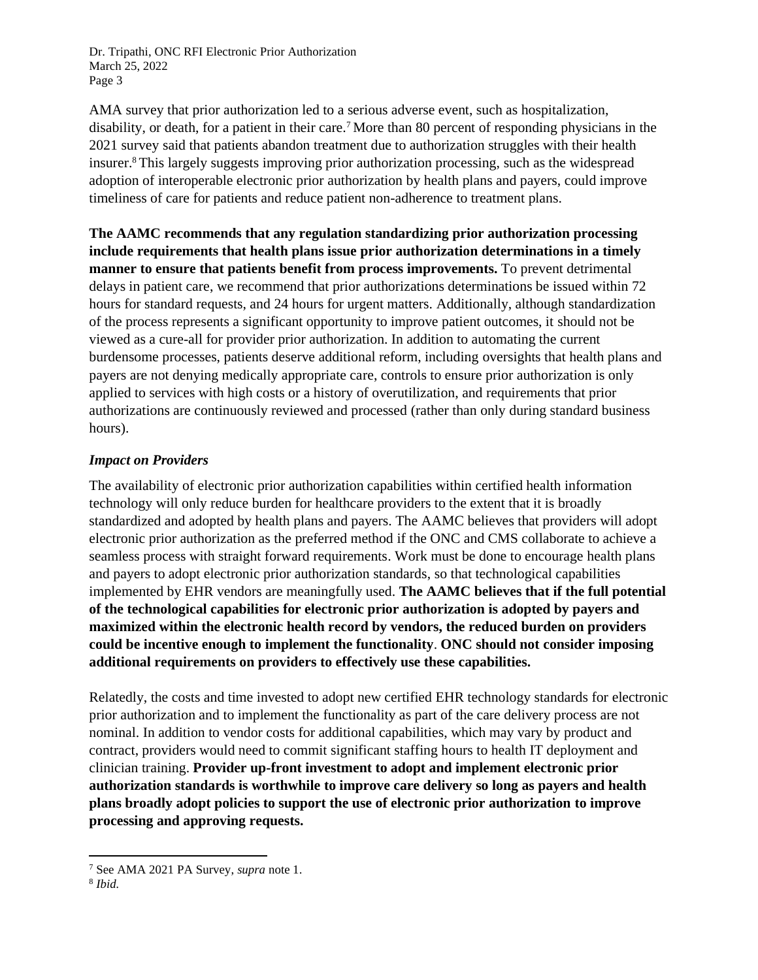Dr. Tripathi, ONC RFI Electronic Prior Authorization March 25, 2022 Page 3

AMA survey that prior authorization led to a serious adverse event, such as hospitalization, disability, or death, for a patient in their care.<sup>7</sup> More than 80 percent of responding physicians in the 2021 survey said that patients abandon treatment due to authorization struggles with their health insurer.<sup>8</sup> This largely suggests improving prior authorization processing, such as the widespread adoption of interoperable electronic prior authorization by health plans and payers, could improve timeliness of care for patients and reduce patient non-adherence to treatment plans.

**The AAMC recommends that any regulation standardizing prior authorization processing include requirements that health plans issue prior authorization determinations in a timely manner to ensure that patients benefit from process improvements.** To prevent detrimental delays in patient care, we recommend that prior authorizations determinations be issued within 72 hours for standard requests, and 24 hours for urgent matters. Additionally, although standardization of the process represents a significant opportunity to improve patient outcomes, it should not be viewed as a cure-all for provider prior authorization. In addition to automating the current burdensome processes, patients deserve additional reform, including oversights that health plans and payers are not denying medically appropriate care, controls to ensure prior authorization is only applied to services with high costs or a history of overutilization, and requirements that prior authorizations are continuously reviewed and processed (rather than only during standard business hours).

## *Impact on Providers*

The availability of electronic prior authorization capabilities within certified health information technology will only reduce burden for healthcare providers to the extent that it is broadly standardized and adopted by health plans and payers. The AAMC believes that providers will adopt electronic prior authorization as the preferred method if the ONC and CMS collaborate to achieve a seamless process with straight forward requirements. Work must be done to encourage health plans and payers to adopt electronic prior authorization standards, so that technological capabilities implemented by EHR vendors are meaningfully used. **The AAMC believes that if the full potential of the technological capabilities for electronic prior authorization is adopted by payers and maximized within the electronic health record by vendors, the reduced burden on providers could be incentive enough to implement the functionality**. **ONC should not consider imposing additional requirements on providers to effectively use these capabilities.**

Relatedly, the costs and time invested to adopt new certified EHR technology standards for electronic prior authorization and to implement the functionality as part of the care delivery process are not nominal. In addition to vendor costs for additional capabilities, which may vary by product and contract, providers would need to commit significant staffing hours to health IT deployment and clinician training. **Provider up-front investment to adopt and implement electronic prior authorization standards is worthwhile to improve care delivery so long as payers and health plans broadly adopt policies to support the use of electronic prior authorization to improve processing and approving requests.** 

<sup>7</sup> See AMA 2021 PA Survey, *supra* note 1.

<sup>8</sup> *Ibid.*